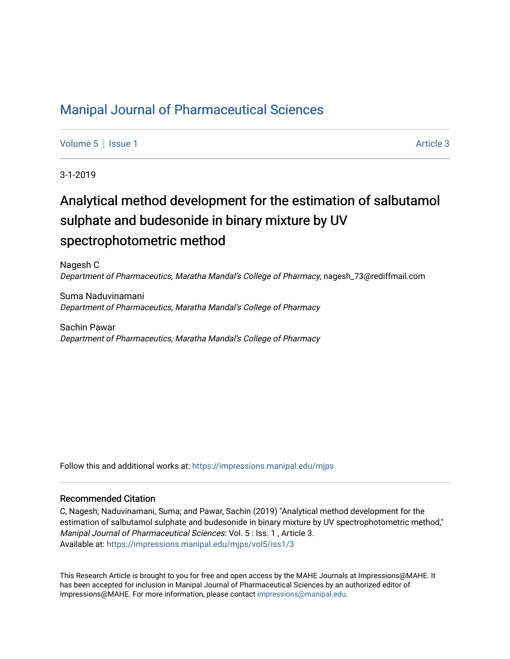### [Manipal Journal of Pharmaceutical Sciences](https://impressions.manipal.edu/mjps)

[Volume 5](https://impressions.manipal.edu/mjps/vol5) | [Issue 1](https://impressions.manipal.edu/mjps/vol5/iss1) Article 3

3-1-2019

# Analytical method development for the estimation of salbutamol sulphate and budesonide in binary mixture by UV spectrophotometric method

Nagesh C Department of Pharmaceutics, Maratha Mandal's College of Pharmacy, nagesh\_73@rediffmail.com

Suma Naduvinamani Department of Pharmaceutics, Maratha Mandal's College of Pharmacy

Sachin Pawar Department of Pharmaceutics, Maratha Mandal's College of Pharmacy

Follow this and additional works at: [https://impressions.manipal.edu/mjps](https://impressions.manipal.edu/mjps?utm_source=impressions.manipal.edu%2Fmjps%2Fvol5%2Fiss1%2F3&utm_medium=PDF&utm_campaign=PDFCoverPages)

#### Recommended Citation

C, Nagesh; Naduvinamani, Suma; and Pawar, Sachin (2019) "Analytical method development for the estimation of salbutamol sulphate and budesonide in binary mixture by UV spectrophotometric method," Manipal Journal of Pharmaceutical Sciences: Vol. 5 : Iss. 1 , Article 3. Available at: [https://impressions.manipal.edu/mjps/vol5/iss1/3](https://impressions.manipal.edu/mjps/vol5/iss1/3?utm_source=impressions.manipal.edu%2Fmjps%2Fvol5%2Fiss1%2F3&utm_medium=PDF&utm_campaign=PDFCoverPages)

This Research Article is brought to you for free and open access by the MAHE Journals at Impressions@MAHE. It has been accepted for inclusion in Manipal Journal of Pharmaceutical Sciences by an authorized editor of Impressions@MAHE. For more information, please contact [impressions@manipal.edu](mailto:impressions@manipal.edu).